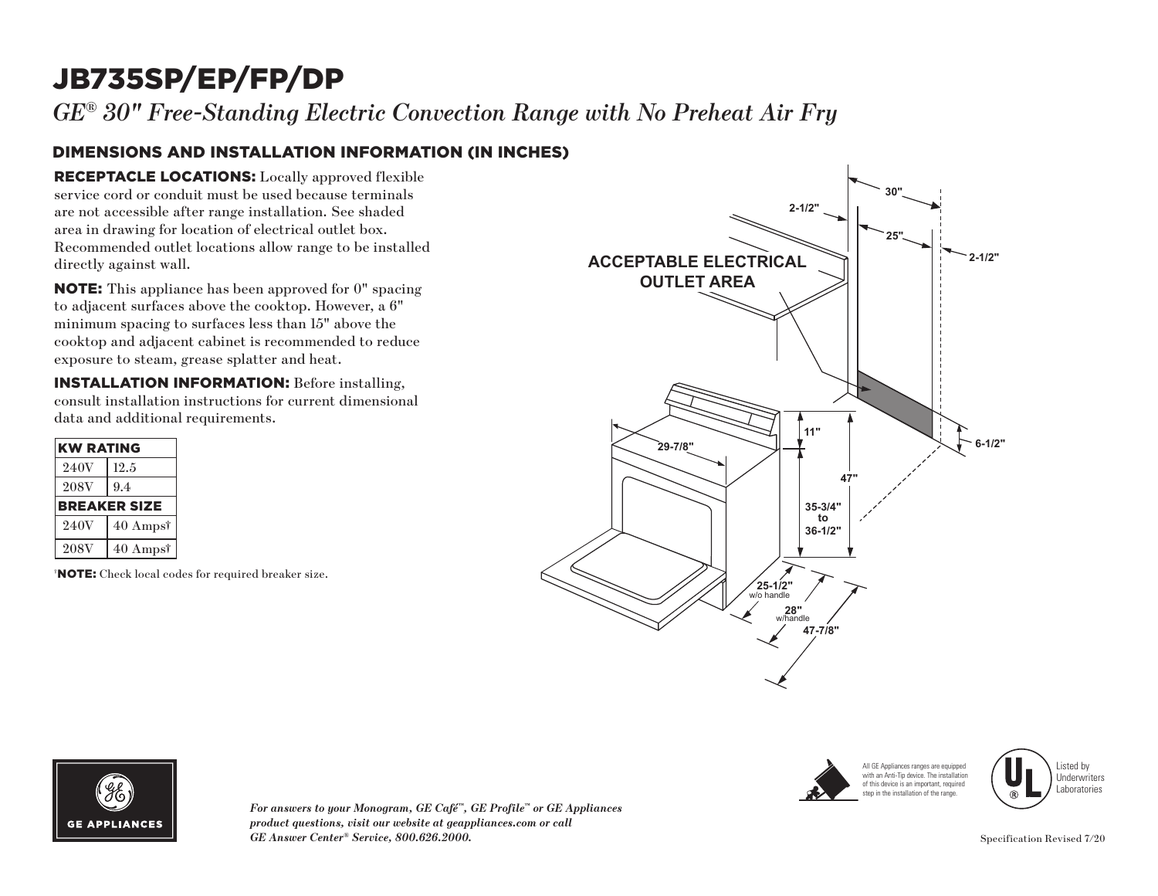# JB735SP/EP/FP/DP

*GE® 30" Free-Standing Electric Convection Range with No Preheat Air Fry*

#### DIMENSIONS AND INSTALLATION INFORMATION (IN INCHES)

RECEPTACLE LOCATIONS: Locally approved flexible service cord or conduit must be used because terminals are not accessible after range installation. See shaded area in drawing for location of electrical outlet box. Recommended outlet locations allow range to be installed directly against wall.

NOTE: This appliance has been approved for 0" spacing to adjacent surfaces above the cooktop. However, a 6" minimum spacing to surfaces less than 15" above the cooktop and adjacent cabinet is recommended to reduce exposure to steam, grease splatter and heat.

INSTALLATION INFORMATION: Before installing, consult installation instructions for current dimensional data and additional requirements.

| <b>KW RATING</b>    |                     |
|---------------------|---------------------|
| 240V                | 12.5                |
| <b>208V</b>         | 9.4                 |
| <b>BREAKER SIZE</b> |                     |
| 240V                | $40 \text{ Amps}^*$ |
| <b>208V</b>         | $40 \text{ Amps}^*$ |

† NOTE: Check local codes for required breaker size.









*For answers to your Monogram, GE Café™, GE Profile™ or GE Appliances product questions, visit our website at geappliances.com or call GE Answer Center® Service, 800.626.2000.*